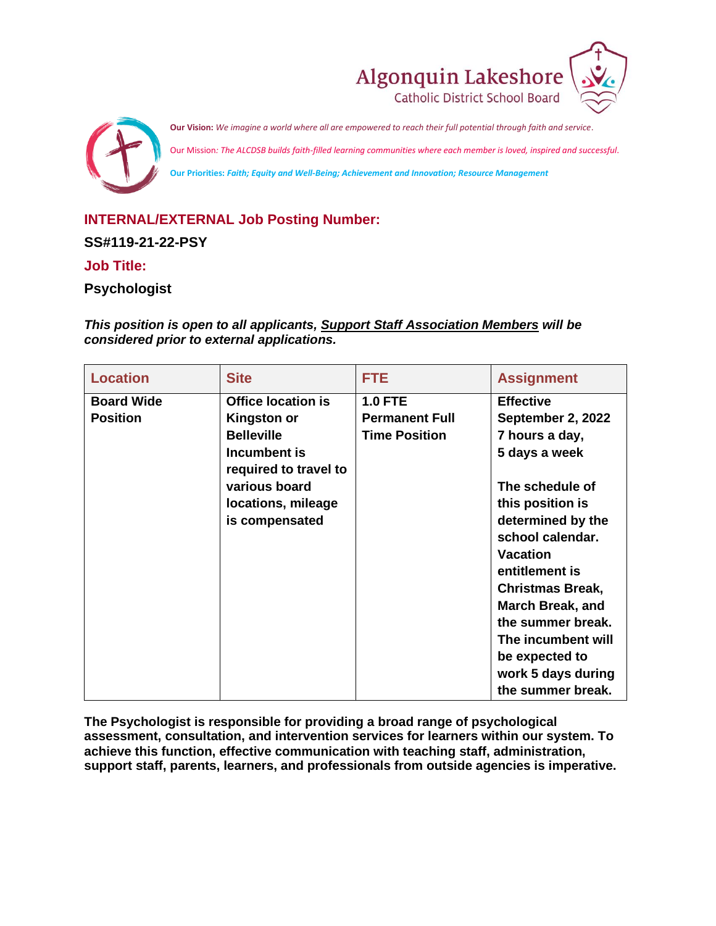



# **INTERNAL/EXTERNAL Job Posting Number:**

**SS#119-21-22-PSY**

### **Job Title:**

### **Psychologist**

*This position is open to all applicants, Support Staff Association Members will be considered prior to external applications.*

| <b>Site</b><br><b>Location</b><br><b>FTE</b>                                                                                                                                                                                                                                      | <b>Assignment</b>                                                                                                                                                                                                                                                                                                                                           |
|-----------------------------------------------------------------------------------------------------------------------------------------------------------------------------------------------------------------------------------------------------------------------------------|-------------------------------------------------------------------------------------------------------------------------------------------------------------------------------------------------------------------------------------------------------------------------------------------------------------------------------------------------------------|
| <b>Office location is</b><br><b>1.0 FTE</b><br><b>Board Wide</b><br><b>Position</b><br><b>Permanent Full</b><br><b>Kingston or</b><br><b>Belleville</b><br><b>Time Position</b><br>Incumbent is<br>required to travel to<br>various board<br>locations, mileage<br>is compensated | <b>Effective</b><br>September 2, 2022<br>7 hours a day,<br>5 days a week<br>The schedule of<br>this position is<br>determined by the<br>school calendar.<br><b>Vacation</b><br>entitlement is<br><b>Christmas Break,</b><br><b>March Break, and</b><br>the summer break.<br>The incumbent will<br>be expected to<br>work 5 days during<br>the summer break. |

**The Psychologist is responsible for providing a broad range of psychological assessment, consultation, and intervention services for learners within our system. To achieve this function, effective communication with teaching staff, administration, support staff, parents, learners, and professionals from outside agencies is imperative.**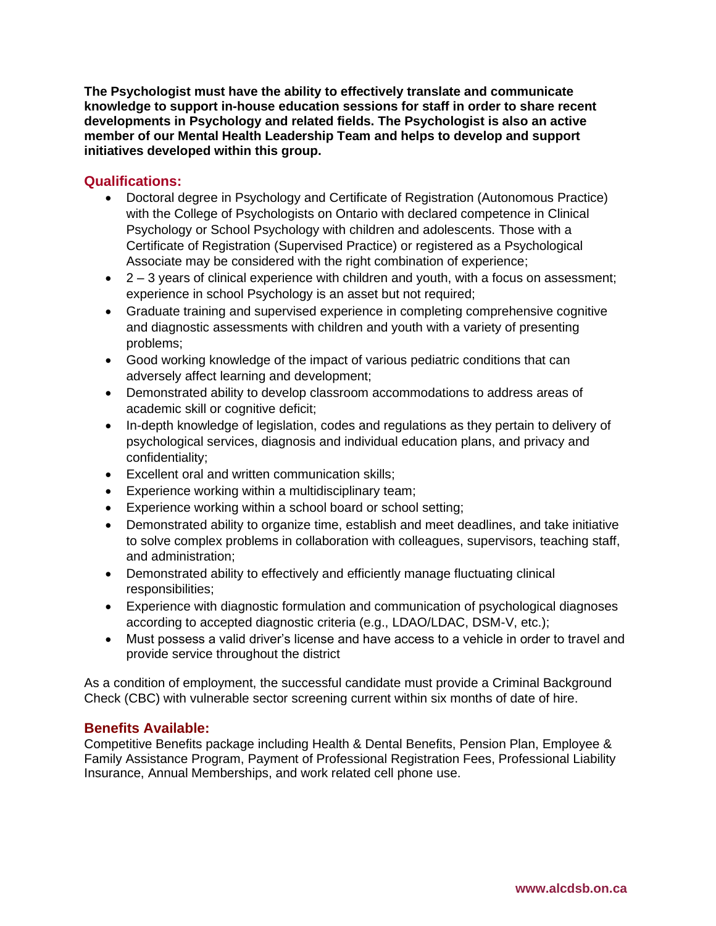**The Psychologist must have the ability to effectively translate and communicate knowledge to support in-house education sessions for staff in order to share recent developments in Psychology and related fields. The Psychologist is also an active member of our Mental Health Leadership Team and helps to develop and support initiatives developed within this group.** 

## **Qualifications:**

- Doctoral degree in Psychology and Certificate of Registration (Autonomous Practice) with the College of Psychologists on Ontario with declared competence in Clinical Psychology or School Psychology with children and adolescents. Those with a Certificate of Registration (Supervised Practice) or registered as a Psychological Associate may be considered with the right combination of experience;
- 2 3 years of clinical experience with children and youth, with a focus on assessment; experience in school Psychology is an asset but not required;
- Graduate training and supervised experience in completing comprehensive cognitive and diagnostic assessments with children and youth with a variety of presenting problems;
- Good working knowledge of the impact of various pediatric conditions that can adversely affect learning and development;
- Demonstrated ability to develop classroom accommodations to address areas of academic skill or cognitive deficit;
- In-depth knowledge of legislation, codes and regulations as they pertain to delivery of psychological services, diagnosis and individual education plans, and privacy and confidentiality;
- Excellent oral and written communication skills;
- Experience working within a multidisciplinary team;
- Experience working within a school board or school setting;
- Demonstrated ability to organize time, establish and meet deadlines, and take initiative to solve complex problems in collaboration with colleagues, supervisors, teaching staff, and administration;
- Demonstrated ability to effectively and efficiently manage fluctuating clinical responsibilities;
- Experience with diagnostic formulation and communication of psychological diagnoses according to accepted diagnostic criteria (e.g., LDAO/LDAC, DSM-V, etc.);
- Must possess a valid driver's license and have access to a vehicle in order to travel and provide service throughout the district

As a condition of employment, the successful candidate must provide a Criminal Background Check (CBC) with vulnerable sector screening current within six months of date of hire.

### **Benefits Available:**

Competitive Benefits package including Health & Dental Benefits, Pension Plan, Employee & Family Assistance Program, Payment of Professional Registration Fees, Professional Liability Insurance, Annual Memberships, and work related cell phone use.